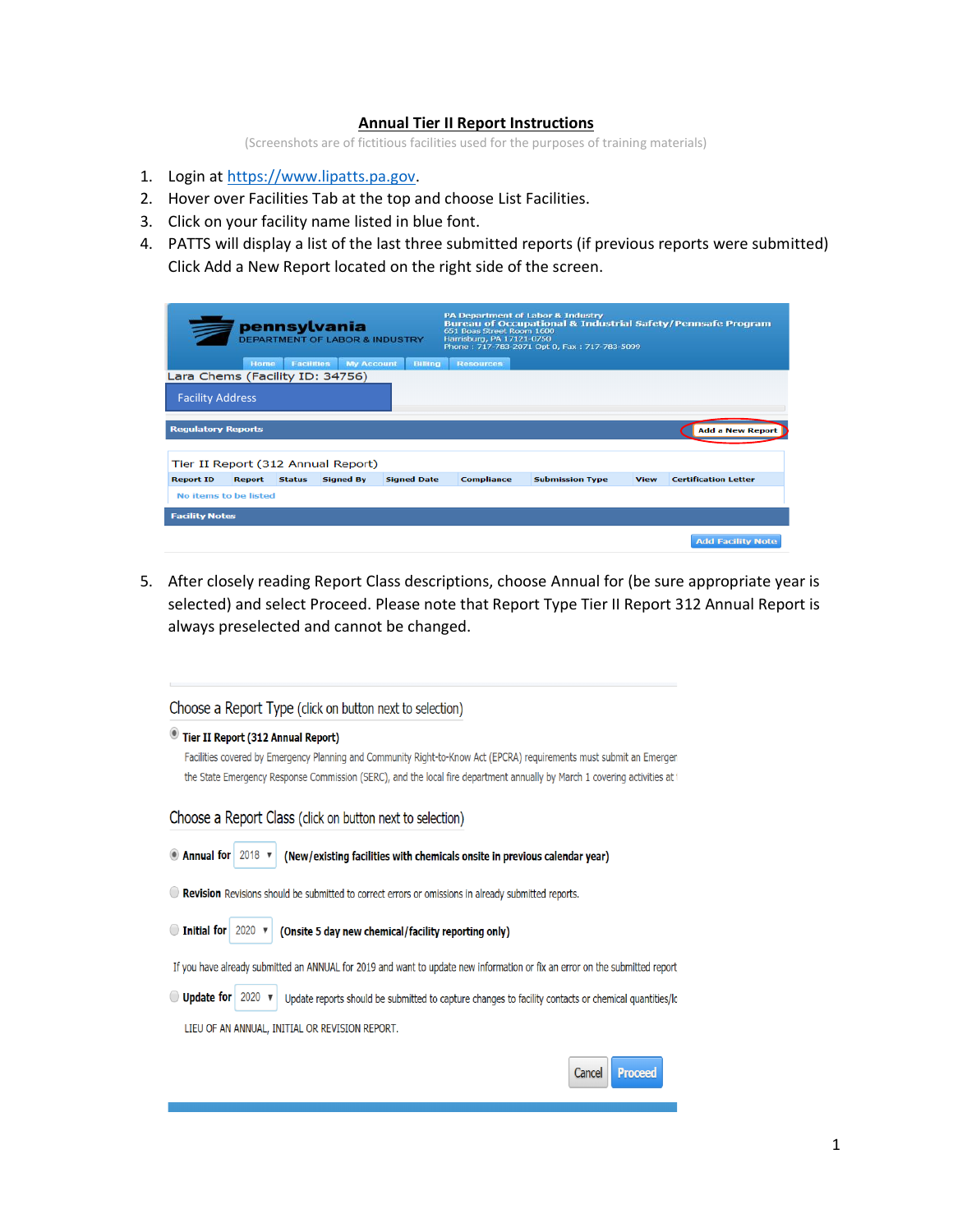### **Annual Tier II Report Instructions**

(Screenshots are of fictitious facilities used for the purposes of training materials)

- 1. Login at [https://www.lipatts.pa.gov.](https://www.lipatts.pa.gov/)
- 2. Hover over Facilities Tab at the top and choose List Facilities.
- 3. Click on your facility name listed in blue font.
- 4. PATTS will display a list of the last three submitted reports (if previous reports were submitted) Click Add a New Report located on the right side of the screen.

|                                 |               |                   | pennsylvania<br><b>DEPARTMENT OF LABOR &amp; INDUSTRY</b> |                    | 651 Boas Street Room 1600<br>Harrisburg, PA 17121-0750 | PA Department of Labor & Industry<br>Phone: 717-783-2071 Opt 0, Fax: 717-783-5099 |             | <b>Bureau of Occupational &amp; Industrial Safety/Pennsafe Program</b> |
|---------------------------------|---------------|-------------------|-----------------------------------------------------------|--------------------|--------------------------------------------------------|-----------------------------------------------------------------------------------|-------------|------------------------------------------------------------------------|
|                                 | Home          | <b>Facilities</b> | <b>My Account</b>                                         | Billing            | <b>Resources</b>                                       |                                                                                   |             |                                                                        |
| Lara Chems (Facility ID: 34756) |               |                   |                                                           |                    |                                                        |                                                                                   |             |                                                                        |
| <b>Facility Address</b>         |               |                   |                                                           |                    |                                                        |                                                                                   |             |                                                                        |
| <b>Regulatory Reports</b>       |               |                   |                                                           |                    |                                                        |                                                                                   |             | <b>Add a New Report</b>                                                |
|                                 |               |                   | Tier II Report (312 Annual Report)                        |                    |                                                        |                                                                                   |             |                                                                        |
| <b>Report ID</b>                | <b>Report</b> | <b>Status</b>     | <b>Signed By</b>                                          | <b>Signed Date</b> | <b>Compliance</b>                                      | <b>Submission Type</b>                                                            | <b>View</b> | <b>Certification Letter</b>                                            |
| No items to be listed           |               |                   |                                                           |                    |                                                        |                                                                                   |             |                                                                        |
| <b>Facility Notes</b>           |               |                   |                                                           |                    |                                                        |                                                                                   |             |                                                                        |
|                                 |               |                   |                                                           |                    |                                                        |                                                                                   |             | <b>Add Facility Note</b>                                               |

5. After closely reading Report Class descriptions, choose Annual for (be sure appropriate year is selected) and select Proceed. Please note that Report Type Tier II Report 312 Annual Report is always preselected and cannot be changed.

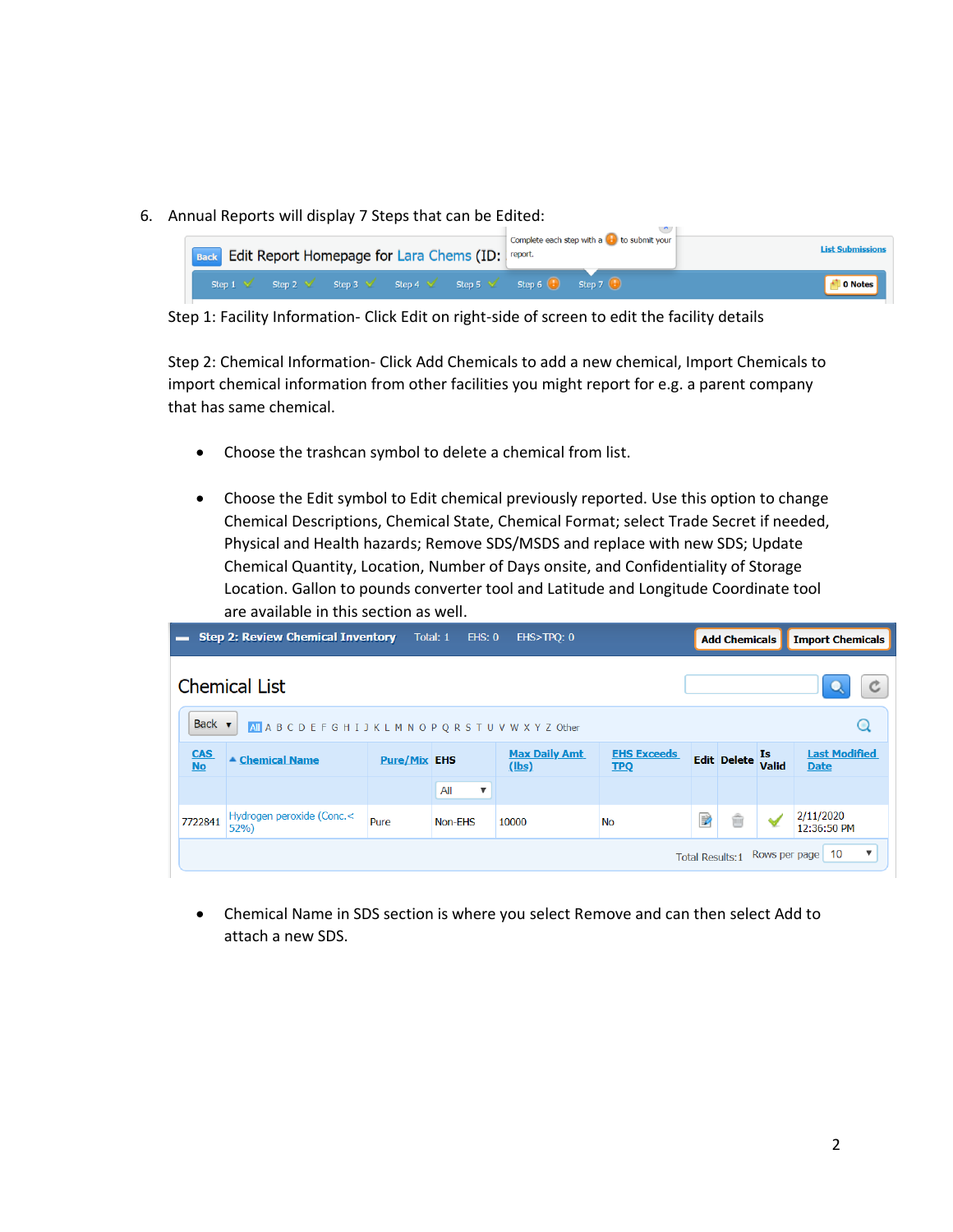6. Annual Reports will display 7 Steps that can be Edited:



Step 1: Facility Information- Click Edit on right-side of screen to edit the facility details

Step 2: Chemical Information- Click Add Chemicals to add a new chemical, Import Chemicals to import chemical information from other facilities you might report for e.g. a parent company that has same chemical.

- Choose the trashcan symbol to delete a chemical from list.
- Choose the Edit symbol to Edit chemical previously reported. Use this option to change Chemical Descriptions, Chemical State, Chemical Format; select Trade Secret if needed, Physical and Health hazards; Remove SDS/MSDS and replace with new SDS; Update Chemical Quantity, Location, Number of Days onsite, and Confidentiality of Storage Location. Gallon to pounds converter tool and Latitude and Longitude Coordinate tool are available in this section as well.

|                         | <b>Step 2: Review Chemical Inventory</b>                      | Total: 1            | EHS: 0                           | EHS>TPQ: 0                    |                                  |   | <b>Add Chemicals</b>                   |       | <b>Import Chemicals</b>                         |
|-------------------------|---------------------------------------------------------------|---------------------|----------------------------------|-------------------------------|----------------------------------|---|----------------------------------------|-------|-------------------------------------------------|
|                         | <b>Chemical List</b>                                          |                     |                                  |                               |                                  |   |                                        |       |                                                 |
| Back $\bullet$          | All A B C D E F G H I J K L M N O P Q R S T U V W X Y Z Other |                     |                                  |                               |                                  |   |                                        |       | Q                                               |
| <b>CAS</b><br><b>No</b> | ▲ Chemical Name                                               | <b>Pure/Mix EHS</b> |                                  | <b>Max Daily Amt</b><br>(lbs) | <b>EHS Exceeds</b><br><b>TPQ</b> |   | Edit Delete $\overline{\mathbf{I}}$ s. | Valid | <b>Last Modified</b><br><b>Date</b>             |
|                         |                                                               |                     | All<br>$\boldsymbol{\mathbb{v}}$ |                               |                                  |   |                                        |       |                                                 |
| 7722841                 | Hydrogen peroxide (Conc.<<br>52%                              | Pure                | Non-EHS                          | 10000                         | <b>No</b>                        | Þ | ŵ                                      |       | 2/11/2020<br>12:36:50 PM                        |
|                         |                                                               |                     |                                  |                               |                                  |   | <b>Total Results:1</b>                 |       | $\boldsymbol{\mathrm{v}}$<br>Rows per page   10 |

• Chemical Name in SDS section is where you select Remove and can then select Add to attach a new SDS.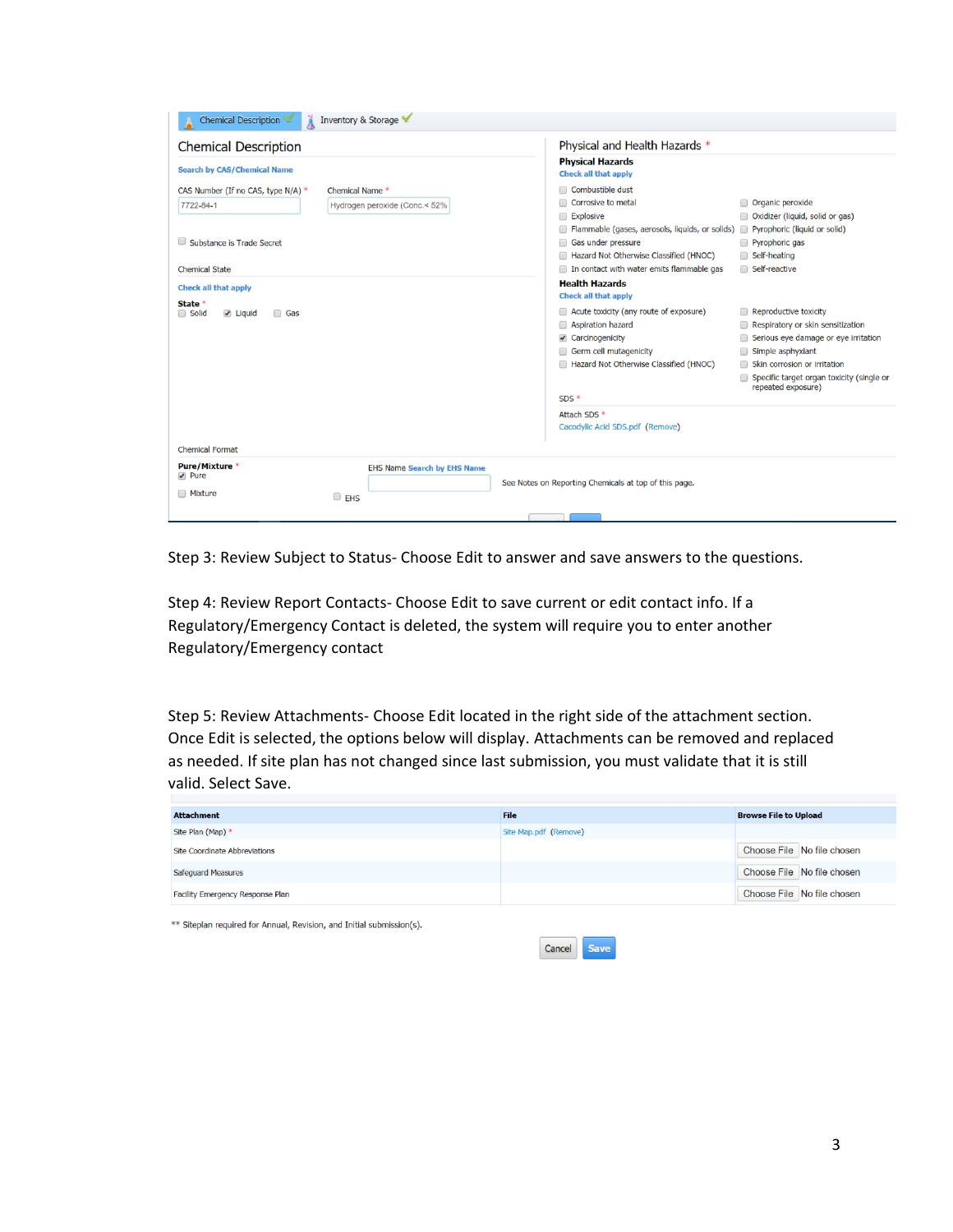| Ä<br>Chemical Description                                                                             | Inventory & Storage                              |                                                                                                                                                                                                                                                         |                                                                                                                                                                                                                                      |
|-------------------------------------------------------------------------------------------------------|--------------------------------------------------|---------------------------------------------------------------------------------------------------------------------------------------------------------------------------------------------------------------------------------------------------------|--------------------------------------------------------------------------------------------------------------------------------------------------------------------------------------------------------------------------------------|
| <b>Chemical Description</b>                                                                           |                                                  | Physical and Health Hazards *                                                                                                                                                                                                                           |                                                                                                                                                                                                                                      |
| <b>Search by CAS/Chemical Name</b>                                                                    |                                                  | <b>Physical Hazards</b><br><b>Check all that apply</b>                                                                                                                                                                                                  |                                                                                                                                                                                                                                      |
| CAS Number (If no CAS, type N/A) *<br>7722-84-1<br>Substance is Trade Secret<br><b>Chemical State</b> | Chemical Name *<br>Hydrogen peroxide (Conc.< 52% | Combustible dust<br>Corrosive to metal<br><b>Explosive</b><br>Flammable (gases, aerosols, liquids, or solids) Pyrophoric (liquid or solid)<br>Gas under pressure<br>Hazard Not Otherwise Classified (HNOC)<br>In contact with water emits flammable gas | Organic peroxide<br>□ Oxidizer (liquid, solid or gas)<br>Pyrophoric gas<br>Self-heating<br>Self-reactive                                                                                                                             |
| <b>Check all that apply</b>                                                                           |                                                  | <b>Health Hazards</b><br><b>Check all that apply</b>                                                                                                                                                                                                    |                                                                                                                                                                                                                                      |
| State *<br>Solid<br>$\sqrt{ }$ Liquid<br><b>Gas</b>                                                   |                                                  | Acute toxicity (any route of exposure)<br>Aspiration hazard<br>Carcinogenicity<br>Germ cell mutagenicity<br>Hazard Not Otherwise Classified (HNOC)<br>$SDS*$<br>Attach SDS *<br>Cacodylic Acid SDS.pdf (Remove)                                         | Reproductive toxicity<br>Respiratory or skin sensitization<br>Serious eye damage or eye irritation<br>Simple asphyxiant<br>∩<br>Skin corrosion or irritation<br>Specific target organ toxicity (single or<br>⋒<br>repeated exposure) |
| <b>Chemical Format</b><br>Pure/Mixture *<br>$\blacktriangleright$ Pure<br><b>Mixture</b>              | <b>EHS Name Search by EHS Name</b><br>$\Box$ EHS | See Notes on Reporting Chemicals at top of this page.                                                                                                                                                                                                   |                                                                                                                                                                                                                                      |
|                                                                                                       |                                                  |                                                                                                                                                                                                                                                         |                                                                                                                                                                                                                                      |

Step 3: Review Subject to Status- Choose Edit to answer and save answers to the questions.

Step 4: Review Report Contacts- Choose Edit to save current or edit contact info. If a Regulatory/Emergency Contact is deleted, the system will require you to enter another Regulatory/Emergency contact

Step 5: Review Attachments- Choose Edit located in the right side of the attachment section. Once Edit is selected, the options below will display. Attachments can be removed and replaced as needed. If site plan has not changed since last submission, you must validate that it is still valid. Select Save.

| <b>Attachment</b>                | <b>File</b>           | <b>Browse File to Upload</b> |
|----------------------------------|-----------------------|------------------------------|
| Site Plan (Map) *                | Site Map.pdf (Remove) |                              |
| Site Coordinate Abbreviations    |                       | Choose File No file chosen   |
| <b>Safequard Measures</b>        |                       | Choose File No file chosen   |
| Facility Emergency Response Plan |                       | Choose File No file chosen   |

\*\* Siteplan required for Annual, Revision, and Initial submission(s).

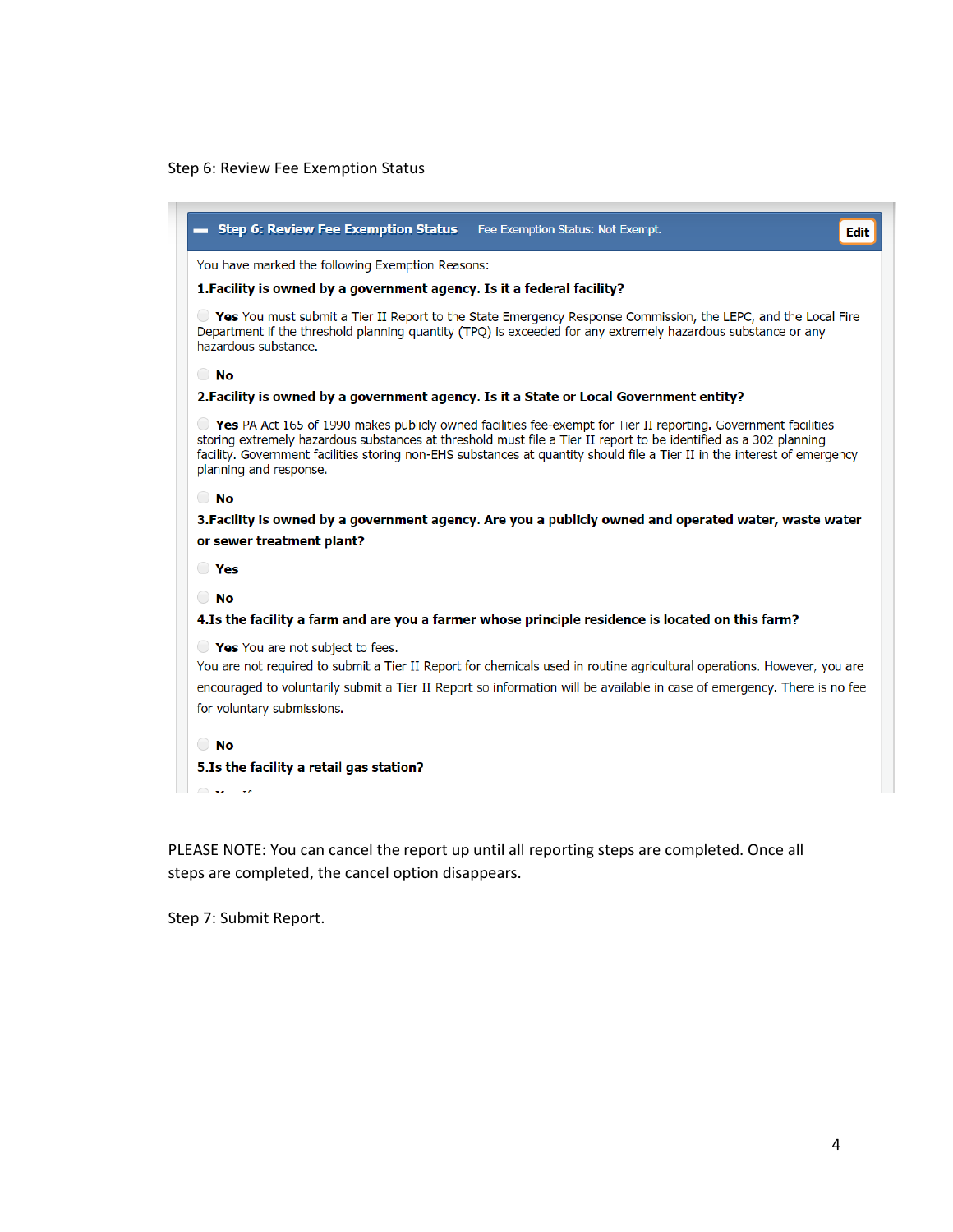#### Step 6: Review Fee Exemption Status



PLEASE NOTE: You can cancel the report up until all reporting steps are completed. Once all steps are completed, the cancel option disappears.

Step 7: Submit Report.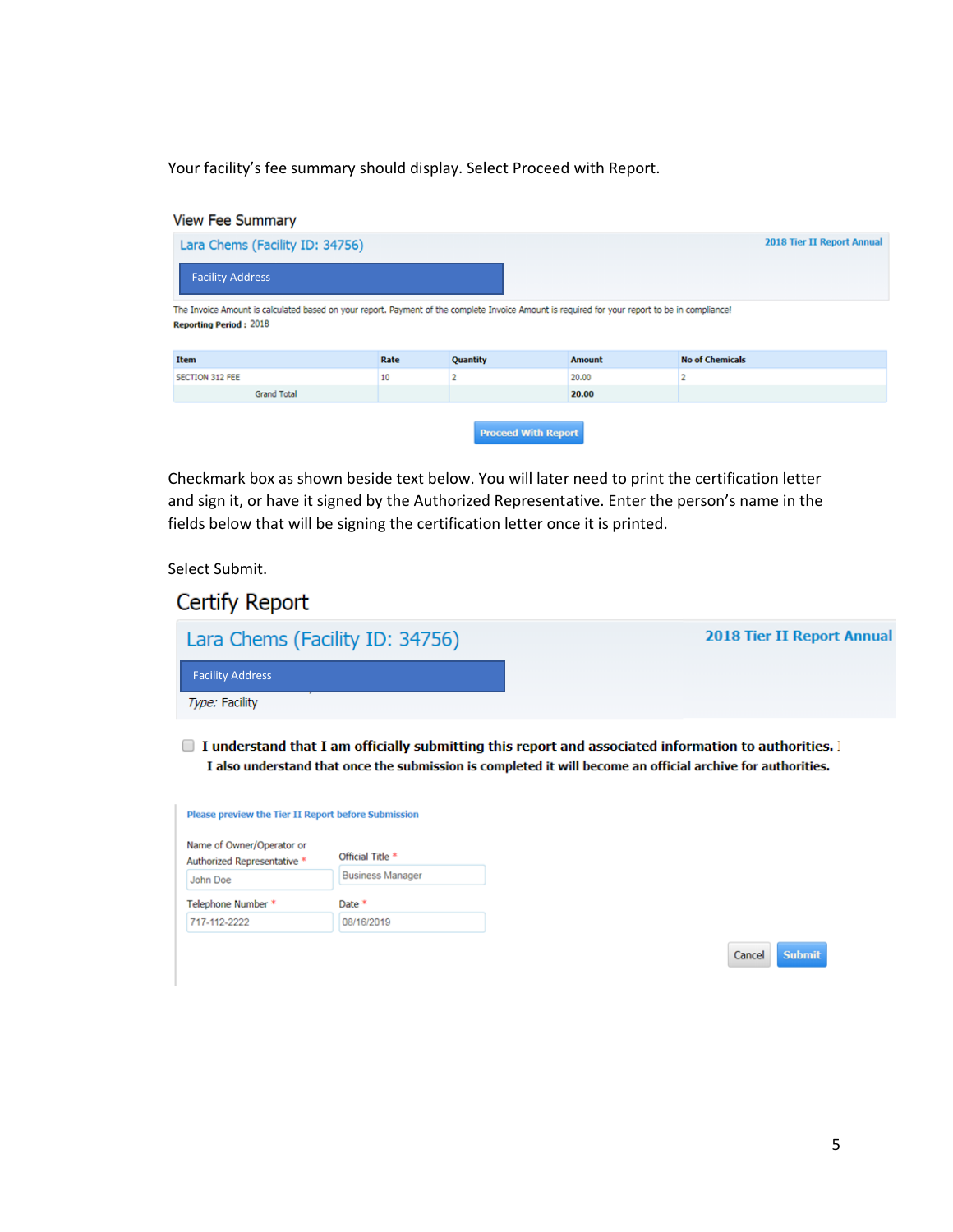Your facility's fee summary should display. Select Proceed with Report.

| <b>View Fee Summary</b>                                                                                                                                                         |      |                            |               |                        |                                   |
|---------------------------------------------------------------------------------------------------------------------------------------------------------------------------------|------|----------------------------|---------------|------------------------|-----------------------------------|
| Lara Chems (Facility ID: 34756)                                                                                                                                                 |      |                            |               |                        | <b>2018 Tier II Report Annual</b> |
| <b>Facility Address</b>                                                                                                                                                         |      |                            |               |                        |                                   |
| The Invoice Amount is calculated based on your report. Payment of the complete Invoice Amount is required for your report to be in compliance!<br><b>Reporting Period: 2018</b> |      |                            |               |                        |                                   |
| <b>Item</b>                                                                                                                                                                     | Rate | Quantity                   | <b>Amount</b> | <b>No of Chemicals</b> |                                   |
| SECTION 312 FEE                                                                                                                                                                 | 10   |                            | 20,00         | 2                      |                                   |
| <b>Grand Total</b>                                                                                                                                                              |      |                            | 20.00         |                        |                                   |
|                                                                                                                                                                                 |      | <b>Proceed With Report</b> |               |                        |                                   |

Checkmark box as shown beside text below. You will later need to print the certification letter and sign it, or have it signed by the Authorized Representative. Enter the person's name in the fields below that will be signing the certification letter once it is printed.

Select Submit.

| Certify Report                  |                                   |
|---------------------------------|-----------------------------------|
| Lara Chems (Facility ID: 34756) | <b>2018 Tier II Report Annual</b> |
| <b>Facility Address</b>         |                                   |
| Type: Facility                  |                                   |

■ I understand that I am officially submitting this report and associated information to authorities. 1 I also understand that once the submission is completed it will become an official archive for authorities.

| Name of Owner/Operator or<br>Authorized Representative * | Official Title *        |
|----------------------------------------------------------|-------------------------|
| John Doe                                                 | <b>Business Manager</b> |
| Telephone Number *                                       | Date <sup>*</sup>       |
| 717-112-2222                                             | 08/16/2019              |

Submit Cancel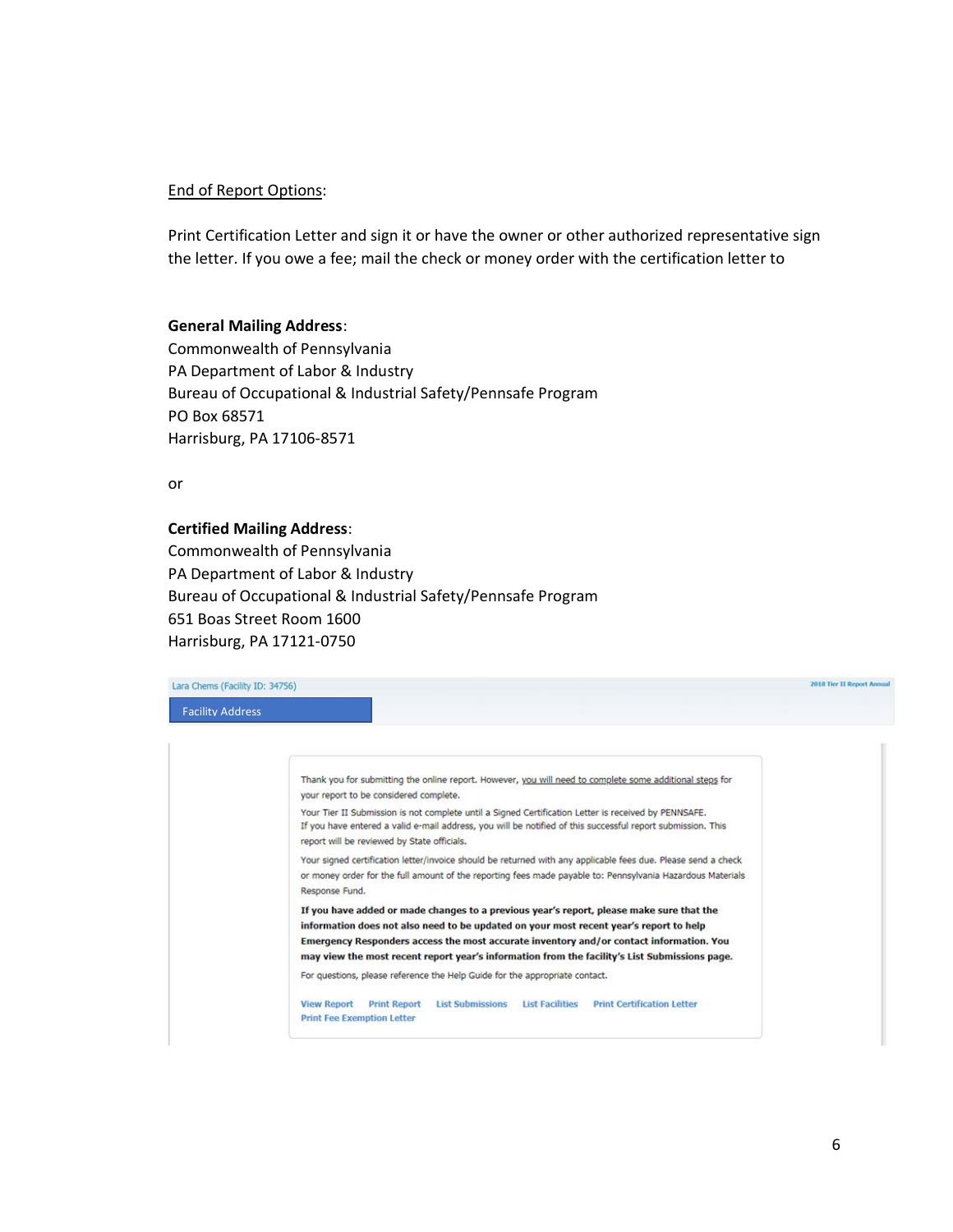# End of Report Options:

Print Certification Letter and sign it or have the owner or other authorized representative sign the letter. If you owe a fee; mail the check or money order with the certification letter to

# **General Mailing Address**:

Commonwealth of Pennsylvania PA Department of Labor & Industry Bureau of Occupational & Industrial Safety/Pennsafe Program PO Box 68571 Harrisburg, PA 17106-8571

or

#### **Certified Mailing Address**:

Commonwealth of Pennsylvania PA Department of Labor & Industry Bureau of Occupational & Industrial Safety/Pennsafe Program 651 Boas Street Room 1600 Harrisburg, PA 17121-0750

| Lara Chems (Facility ID: 34756) | <b>2018 Tier II Report Annual</b>                                                                                                                                        |
|---------------------------------|--------------------------------------------------------------------------------------------------------------------------------------------------------------------------|
| <b>Facility Address</b>         |                                                                                                                                                                          |
|                                 |                                                                                                                                                                          |
|                                 |                                                                                                                                                                          |
|                                 |                                                                                                                                                                          |
|                                 | Thank you for submitting the online report. However, you will need to complete some additional steps for                                                                 |
|                                 | your report to be considered complete.                                                                                                                                   |
|                                 | Your Tier II Submission is not complete until a Signed Certification Letter is received by PENNSAFE.                                                                     |
|                                 | If you have entered a valid e-mail address, you will be notified of this successful report submission. This                                                              |
|                                 | report will be reviewed by State officials.                                                                                                                              |
|                                 | Your signed certification letter/invoice should be returned with any applicable fees due. Please send a check                                                            |
|                                 | or money order for the full amount of the reporting fees made payable to: Pennsylvania Hazardous Materials                                                               |
|                                 | Response Fund.                                                                                                                                                           |
|                                 | If you have added or made changes to a previous year's report, please make sure that the                                                                                 |
|                                 | information does not also need to be updated on your most recent year's report to help                                                                                   |
|                                 | Emergency Responders access the most accurate inventory and/or contact information. You                                                                                  |
|                                 | may view the most recent report year's information from the facility's List Submissions page.                                                                            |
|                                 | For questions, please reference the Help Guide for the appropriate contact.                                                                                              |
|                                 |                                                                                                                                                                          |
|                                 | <b>View Report</b><br><b>Print Report</b><br><b>List Submissions</b><br><b>List Facilities</b><br><b>Print Certification Letter</b><br><b>Print Fee Exemption Letter</b> |
|                                 |                                                                                                                                                                          |